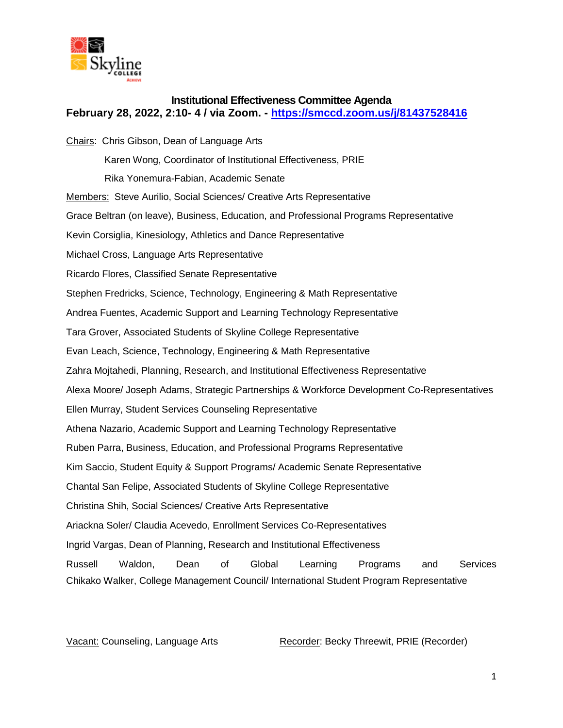

## **Institutional Effectiveness Committee Agenda February 28, 2022, 2:10- 4 / via Zoom. - <https://smccd.zoom.us/j/81437528416>**

Chairs: Chris Gibson, Dean of Language Arts Karen Wong, Coordinator of Institutional Effectiveness, PRIE Rika Yonemura-Fabian, Academic Senate Members: Steve Aurilio, Social Sciences/ Creative Arts Representative Grace Beltran (on leave), Business, Education, and Professional Programs Representative Kevin Corsiglia, Kinesiology, Athletics and Dance Representative Michael Cross, Language Arts Representative Ricardo Flores, Classified Senate Representative Stephen Fredricks, Science, Technology, Engineering & Math Representative Andrea Fuentes, Academic Support and Learning Technology Representative Tara Grover, Associated Students of Skyline College Representative Evan Leach, Science, Technology, Engineering & Math Representative Zahra Mojtahedi, Planning, Research, and Institutional Effectiveness Representative Alexa Moore/ Joseph Adams, Strategic Partnerships & Workforce Development Co-Representatives Ellen Murray, Student Services Counseling Representative Athena Nazario, Academic Support and Learning Technology Representative Ruben Parra, Business, Education, and Professional Programs Representative Kim Saccio, Student Equity & Support Programs/ Academic Senate Representative Chantal San Felipe, Associated Students of Skyline College Representative Christina Shih, Social Sciences/ Creative Arts Representative Ariackna Soler/ Claudia Acevedo, Enrollment Services Co-Representatives Ingrid Vargas, Dean of Planning, Research and Institutional Effectiveness Russell Waldon, Dean of Global Learning Programs and Services Chikako Walker, College Management Council/ International Student Program Representative

Vacant: Counseling, Language Arts Recorder: Becky Threewit, PRIE (Recorder)